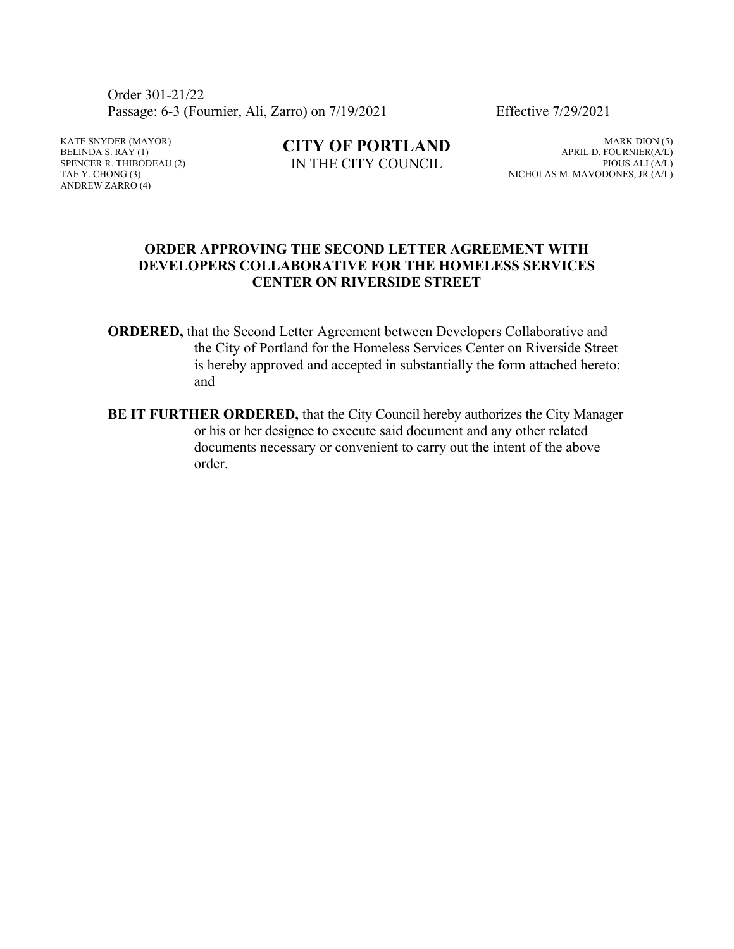Order 301-21/22 Passage: 6-3 (Fournier, Ali, Zarro) on 7/19/2021 Effective 7/29/2021

KATE SNYDER (MAYOR) BELINDA S.  $RAY(1)$ SPENCER R. THIBODEAU (2) TAE Y. CHONG (3) ANDREW ZARRO (4)

**CITY OF PORTLAND** IN THE CITY COUNCIL

MARK DION (5) APRIL D. FOURNIER(A/L) PIOUS ALI (A/L) NICHOLAS M. MAVODONES, JR (A/L)

#### **ORDER APPROVING THE SECOND LETTER AGREEMENT WITH DEVELOPERS COLLABORATIVE FOR THE HOMELESS SERVICES CENTER ON RIVERSIDE STREET**

- **ORDERED,** that the Second Letter Agreement between Developers Collaborative and the City of Portland for the Homeless Services Center on Riverside Street is hereby approved and accepted in substantially the form attached hereto; and
- **BE IT FURTHER ORDERED,** that the City Council hereby authorizes the City Manager or his or her designee to execute said document and any other related documents necessary or convenient to carry out the intent of the above order.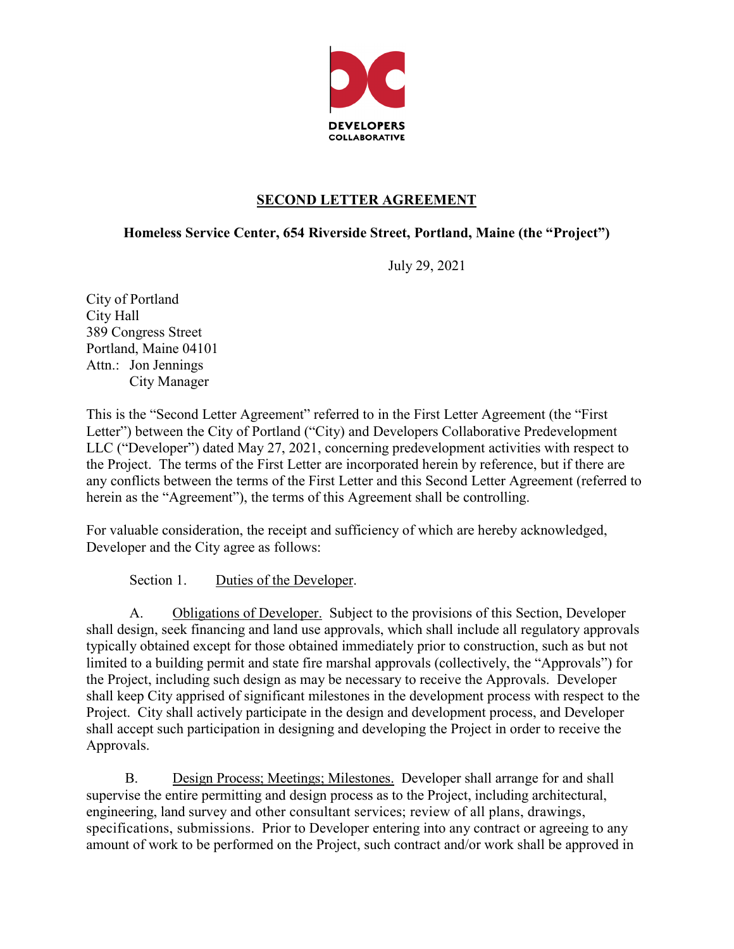

#### **SECOND LETTER AGREEMENT**

#### **Homeless Service Center, 654 Riverside Street, Portland, Maine (the "Project")**

July 29, 2021

City of Portland City Hall 389 Congress Street Portland, Maine 04101 Attn.: Jon Jennings City Manager

This is the "Second Letter Agreement" referred to in the First Letter Agreement (the "First Letter") between the City of Portland ("City) and Developers Collaborative Predevelopment LLC ("Developer") dated May 27, 2021, concerning predevelopment activities with respect to the Project. The terms of the First Letter are incorporated herein by reference, but if there are any conflicts between the terms of the First Letter and this Second Letter Agreement (referred to herein as the "Agreement"), the terms of this Agreement shall be controlling.

For valuable consideration, the receipt and sufficiency of which are hereby acknowledged, Developer and the City agree as follows:

Section 1. Duties of the Developer.

A. Obligations of Developer. Subject to the provisions of this Section, Developer shall design, seek financing and land use approvals, which shall include all regulatory approvals typically obtained except for those obtained immediately prior to construction, such as but not limited to a building permit and state fire marshal approvals (collectively, the "Approvals") for the Project, including such design as may be necessary to receive the Approvals. Developer shall keep City apprised of significant milestones in the development process with respect to the Project. City shall actively participate in the design and development process, and Developer shall accept such participation in designing and developing the Project in order to receive the Approvals.

B. Design Process; Meetings; Milestones. Developer shall arrange for and shall supervise the entire permitting and design process as to the Project, including architectural, engineering, land survey and other consultant services; review of all plans, drawings, specifications, submissions. Prior to Developer entering into any contract or agreeing to any amount of work to be performed on the Project, such contract and/or work shall be approved in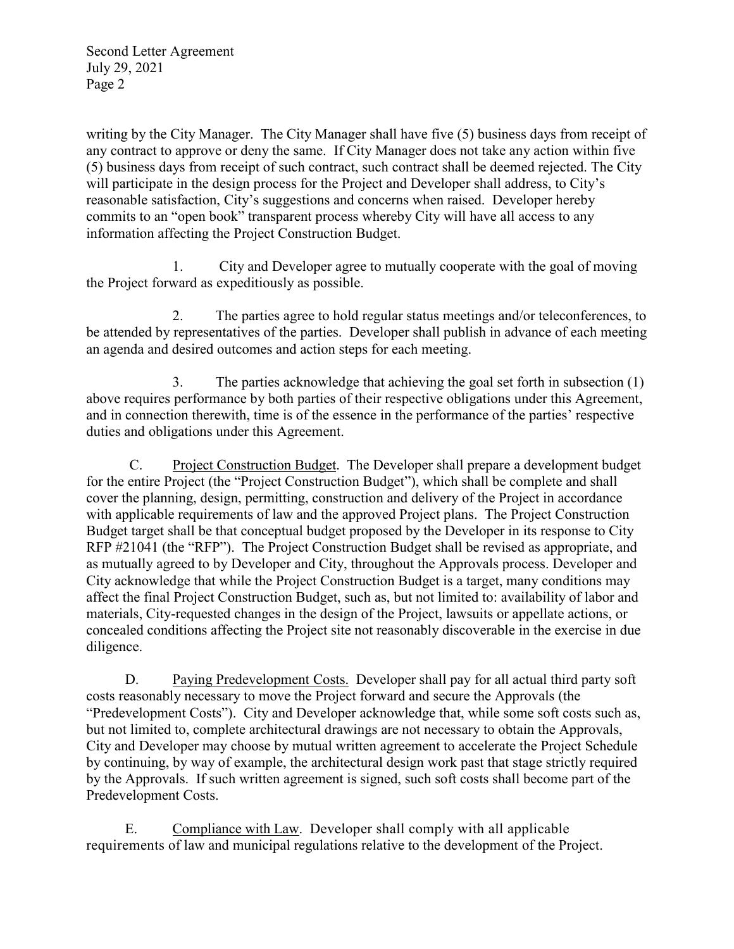writing by the City Manager. The City Manager shall have five (5) business days from receipt of any contract to approve or deny the same. If City Manager does not take any action within five (5) business days from receipt of such contract, such contract shall be deemed rejected. The City will participate in the design process for the Project and Developer shall address, to City's reasonable satisfaction, City's suggestions and concerns when raised. Developer hereby commits to an "open book" transparent process whereby City will have all access to any information affecting the Project Construction Budget.

1. City and Developer agree to mutually cooperate with the goal of moving the Project forward as expeditiously as possible.

2. The parties agree to hold regular status meetings and/or teleconferences, to be attended by representatives of the parties. Developer shall publish in advance of each meeting an agenda and desired outcomes and action steps for each meeting.

3. The parties acknowledge that achieving the goal set forth in subsection (1) above requires performance by both parties of their respective obligations under this Agreement, and in connection therewith, time is of the essence in the performance of the parties' respective duties and obligations under this Agreement.

C. Project Construction Budget. The Developer shall prepare a development budget for the entire Project (the "Project Construction Budget"), which shall be complete and shall cover the planning, design, permitting, construction and delivery of the Project in accordance with applicable requirements of law and the approved Project plans. The Project Construction Budget target shall be that conceptual budget proposed by the Developer in its response to City RFP #21041 (the "RFP"). The Project Construction Budget shall be revised as appropriate, and as mutually agreed to by Developer and City, throughout the Approvals process. Developer and City acknowledge that while the Project Construction Budget is a target, many conditions may affect the final Project Construction Budget, such as, but not limited to: availability of labor and materials, City-requested changes in the design of the Project, lawsuits or appellate actions, or concealed conditions affecting the Project site not reasonably discoverable in the exercise in due diligence.

D. Paying Predevelopment Costs. Developer shall pay for all actual third party soft costs reasonably necessary to move the Project forward and secure the Approvals (the "Predevelopment Costs"). City and Developer acknowledge that, while some soft costs such as, but not limited to, complete architectural drawings are not necessary to obtain the Approvals, City and Developer may choose by mutual written agreement to accelerate the Project Schedule by continuing, by way of example, the architectural design work past that stage strictly required by the Approvals. If such written agreement is signed, such soft costs shall become part of the Predevelopment Costs.

E. Compliance with Law. Developer shall comply with all applicable requirements of law and municipal regulations relative to the development of the Project.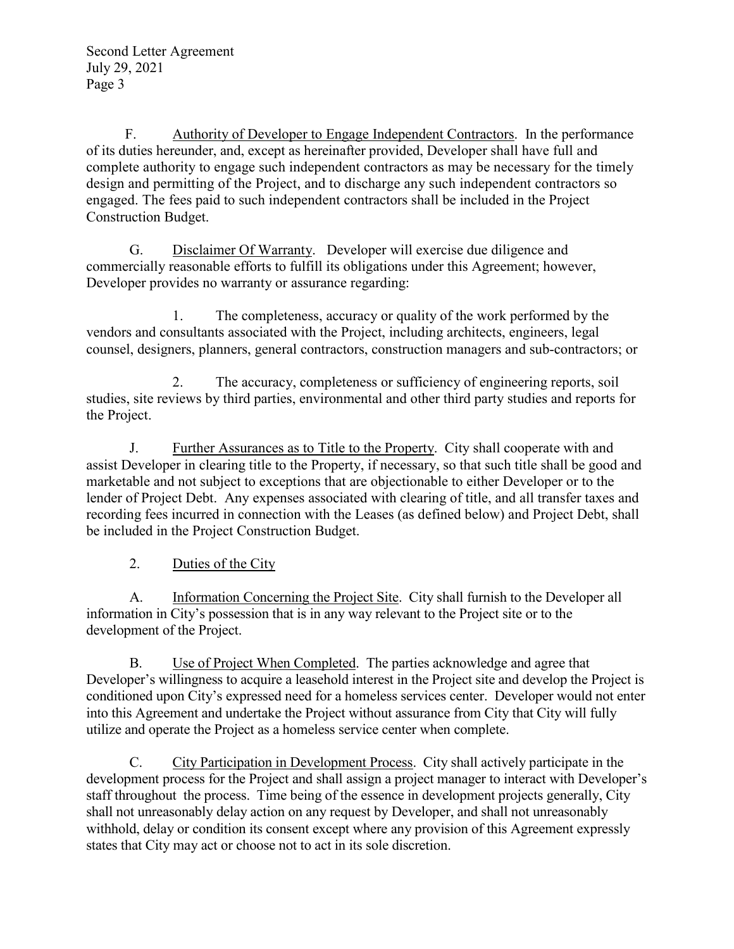F. Authority of Developer to Engage Independent Contractors. In the performance of its duties hereunder, and, except as hereinafter provided, Developer shall have full and complete authority to engage such independent contractors as may be necessary for the timely design and permitting of the Project, and to discharge any such independent contractors so engaged. The fees paid to such independent contractors shall be included in the Project Construction Budget.

G. Disclaimer Of Warranty. Developer will exercise due diligence and commercially reasonable efforts to fulfill its obligations under this Agreement; however, Developer provides no warranty or assurance regarding:

1. The completeness, accuracy or quality of the work performed by the vendors and consultants associated with the Project, including architects, engineers, legal counsel, designers, planners, general contractors, construction managers and sub-contractors; or

2. The accuracy, completeness or sufficiency of engineering reports, soil studies, site reviews by third parties, environmental and other third party studies and reports for the Project.

J. Further Assurances as to Title to the Property. City shall cooperate with and assist Developer in clearing title to the Property, if necessary, so that such title shall be good and marketable and not subject to exceptions that are objectionable to either Developer or to the lender of Project Debt. Any expenses associated with clearing of title, and all transfer taxes and recording fees incurred in connection with the Leases (as defined below) and Project Debt, shall be included in the Project Construction Budget.

2. Duties of the City

A. Information Concerning the Project Site. City shall furnish to the Developer all information in City's possession that is in any way relevant to the Project site or to the development of the Project.

B. Use of Project When Completed. The parties acknowledge and agree that Developer's willingness to acquire a leasehold interest in the Project site and develop the Project is conditioned upon City's expressed need for a homeless services center. Developer would not enter into this Agreement and undertake the Project without assurance from City that City will fully utilize and operate the Project as a homeless service center when complete.

C. City Participation in Development Process. City shall actively participate in the states that City may act or choose not to act in its sole discretion.

development process for the Project and shall assign a project manager to interact with Developer's staff throughout the process. Time being of the essence in development projects generally, City shall not unreasonably delay action on any request by Developer, and shall not unreasonably withhold, delay or condition its consent except where any provision of this Agreement expressly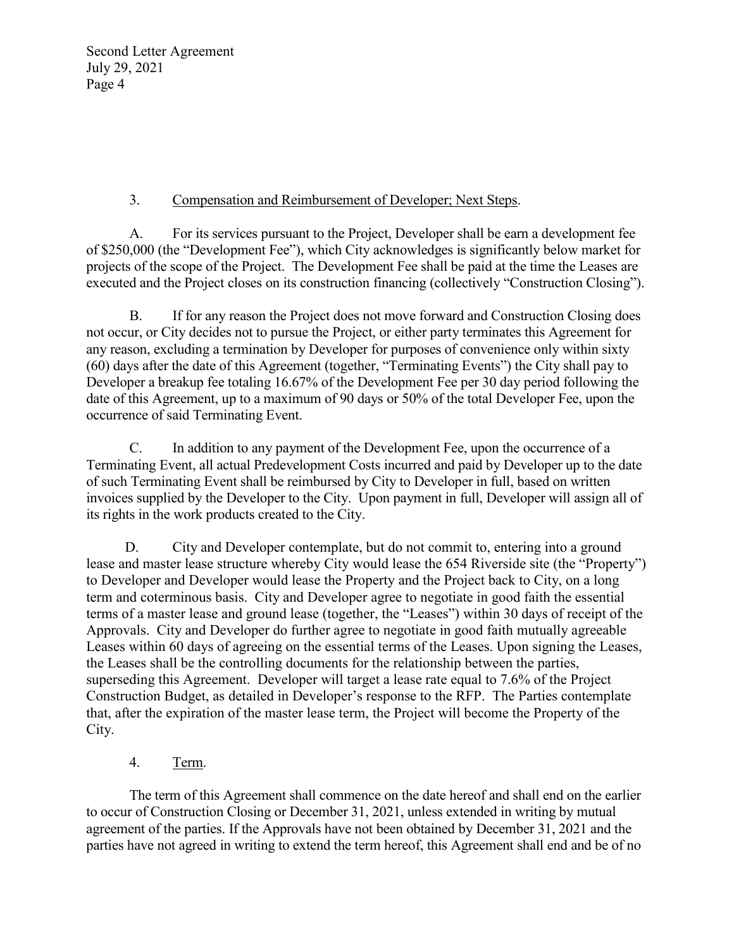## 3. Compensation and Reimbursement of Developer; Next Steps.

A. For its services pursuant to the Project, Developer shall be earn a development fee of \$250,000 (the "Development Fee"), which City acknowledges is significantly below market for projects of the scope of the Project. The Development Fee shall be paid at the time the Leases are executed and the Project closes on its construction financing (collectively "Construction Closing").

B. If for any reason the Project does not move forward and Construction Closing does not occur, or City decides not to pursue the Project, or either party terminates this Agreement for any reason, excluding a termination by Developer for purposes of convenience only within sixty (60) days after the date of this Agreement (together, "Terminating Events") the City shall pay to Developer a breakup fee totaling 16.67% of the Development Fee per 30 day period following the date of this Agreement, up to a maximum of 90 days or 50% of the total Developer Fee, upon the occurrence of said Terminating Event.

C. In addition to any payment of the Development Fee, upon the occurrence of a Terminating Event, all actual Predevelopment Costs incurred and paid by Developer up to the date of such Terminating Event shall be reimbursed by City to Developer in full, based on written invoices supplied by the Developer to the City. Upon payment in full, Developer will assign all of its rights in the work products created to the City.

D. City and Developer contemplate, but do not commit to, entering into a ground lease and master lease structure whereby City would lease the 654 Riverside site (the "Property") to Developer and Developer would lease the Property and the Project back to City, on a long term and coterminous basis. City and Developer agree to negotiate in good faith the essential terms of a master lease and ground lease (together, the "Leases") within 30 days of receipt of the Approvals. City and Developer do further agree to negotiate in good faith mutually agreeable Leases within 60 days of agreeing on the essential terms of the Leases. Upon signing the Leases, the Leases shall be the controlling documents for the relationship between the parties, superseding this Agreement. Developer will target a lease rate equal to 7.6% of the Project Construction Budget, as detailed in Developer's response to the RFP. The Parties contemplate that, after the expiration of the master lease term, the Project will become the Property of the City.

## 4. Term.

The term of this Agreement shall commence on the date hereof and shall end on the earlier to occur of Construction Closing or December 31, 2021, unless extended in writing by mutual agreement of the parties. If the Approvals have not been obtained by December 31, 2021 and the parties have not agreed in writing to extend the term hereof, this Agreement shall end and be of no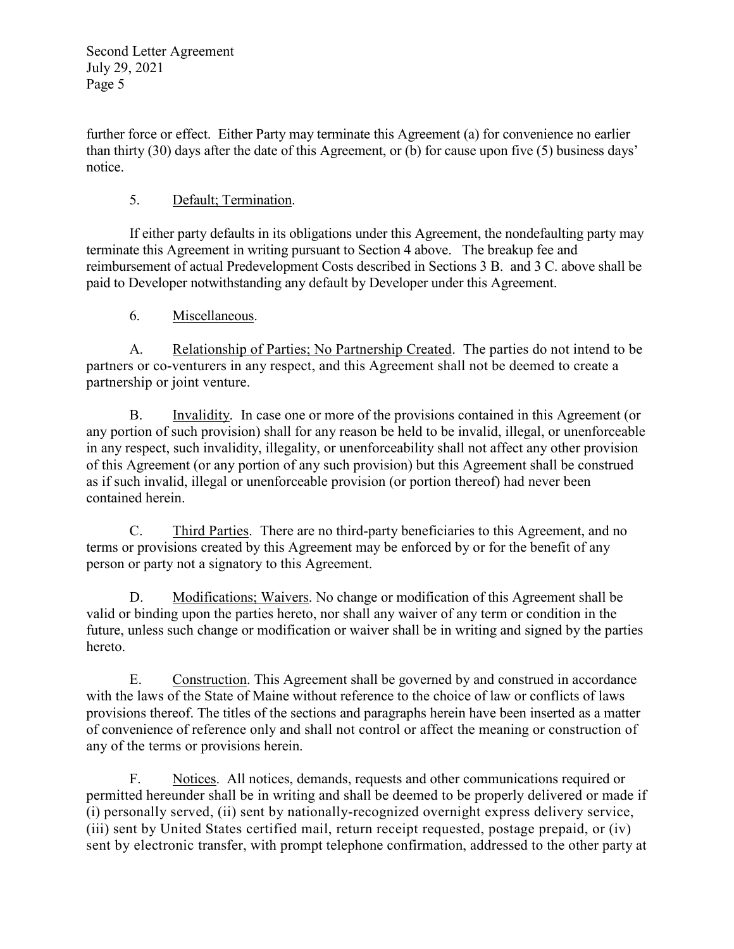further force or effect. Either Party may terminate this Agreement (a) for convenience no earlier than thirty (30) days after the date of this Agreement, or (b) for cause upon five (5) business days' notice.

# 5. Default; Termination.

If either party defaults in its obligations under this Agreement, the nondefaulting party may terminate this Agreement in writing pursuant to Section 4 above. The breakup fee and reimbursement of actual Predevelopment Costs described in Sections 3 B. and 3 C. above shall be paid to Developer notwithstanding any default by Developer under this Agreement.

## 6. Miscellaneous.

A. Relationship of Parties; No Partnership Created. The parties do not intend to be partners or co-venturers in any respect, and this Agreement shall not be deemed to create a partnership or joint venture.

B. Invalidity. In case one or more of the provisions contained in this Agreement (or any portion of such provision) shall for any reason be held to be invalid, illegal, or unenforceable in any respect, such invalidity, illegality, or unenforceability shall not affect any other provision of this Agreement (or any portion of any such provision) but this Agreement shall be construed as if such invalid, illegal or unenforceable provision (or portion thereof) had never been contained herein.

C. Third Parties. There are no third-party beneficiaries to this Agreement, and no terms or provisions created by this Agreement may be enforced by or for the benefit of any person or party not a signatory to this Agreement.

D. Modifications; Waivers. No change or modification of this Agreement shall be valid or binding upon the parties hereto, nor shall any waiver of any term or condition in the future, unless such change or modification or waiver shall be in writing and signed by the parties hereto.

E. Construction. This Agreement shall be governed by and construed in accordance with the laws of the State of Maine without reference to the choice of law or conflicts of laws provisions thereof. The titles of the sections and paragraphs herein have been inserted as a matter of convenience of reference only and shall not control or affect the meaning or construction of any of the terms or provisions herein.

F. Notices. All notices, demands, requests and other communications required or permitted hereunder shall be in writing and shall be deemed to be properly delivered or made if (i) personally served, (ii) sent by nationally-recognized overnight express delivery service, (iii) sent by United States certified mail, return receipt requested, postage prepaid, or (iv) sent by electronic transfer, with prompt telephone confirmation, addressed to the other party at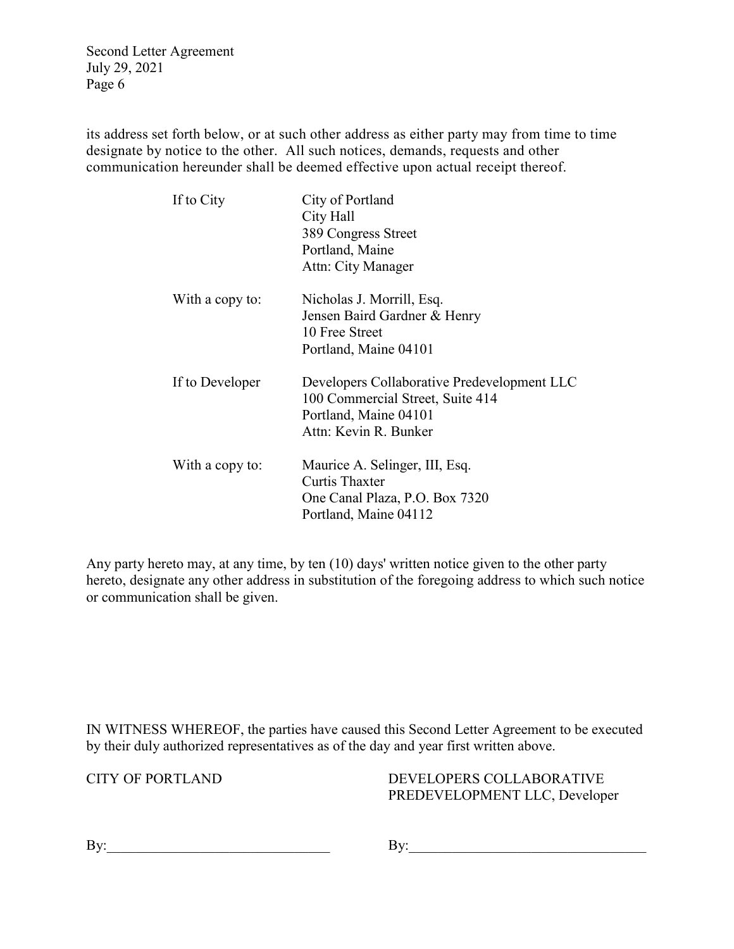its address set forth below, or at such other address as either party may from time to time designate by notice to the other. All such notices, demands, requests and other communication hereunder shall be deemed effective upon actual receipt thereof.

| If to City      | City of Portland<br>City Hall<br>389 Congress Street<br>Portland, Maine<br>Attn: City Manager                                     |
|-----------------|-----------------------------------------------------------------------------------------------------------------------------------|
| With a copy to: | Nicholas J. Morrill, Esq.<br>Jensen Baird Gardner & Henry<br>10 Free Street<br>Portland, Maine 04101                              |
| If to Developer | Developers Collaborative Predevelopment LLC<br>100 Commercial Street, Suite 414<br>Portland, Maine 04101<br>Attn: Kevin R. Bunker |
| With a copy to: | Maurice A. Selinger, III, Esq.<br><b>Curtis Thaxter</b><br>One Canal Plaza, P.O. Box 7320<br>Portland, Maine 04112                |

Any party hereto may, at any time, by ten (10) days' written notice given to the other party hereto, designate any other address in substitution of the foregoing address to which such notice or communication shall be given.

IN WITNESS WHEREOF, the parties have caused this Second Letter Agreement to be executed by their duly authorized representatives as of the day and year first written above.

CITY OF PORTLAND DEVELOPERS COLLABORATIVE PREDEVELOPMENT LLC, Developer

| т<br>- |  |  |  |
|--------|--|--|--|
|        |  |  |  |